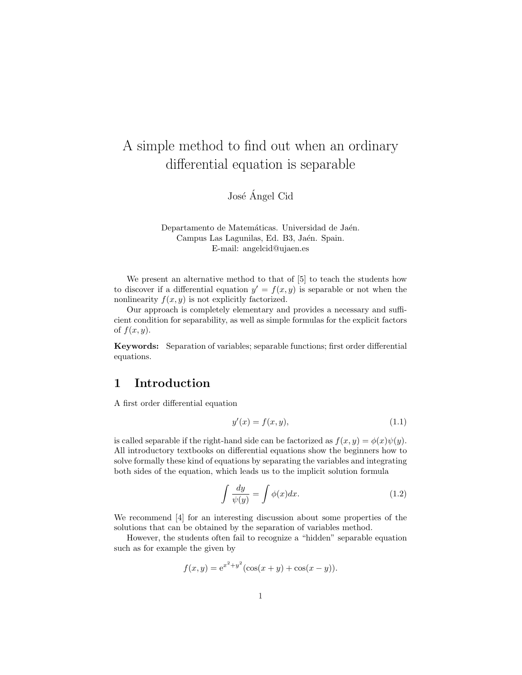## A simple method to find out when an ordinary differential equation is separable

José Ángel Cid

Departamento de Matemáticas. Universidad de Jaén. Campus Las Lagunilas, Ed. B3, Jaén. Spain. E-mail: angelcid@ujaen.es

We present an alternative method to that of [5] to teach the students how to discover if a differential equation  $y' = f(x, y)$  is separable or not when the nonlinearity  $f(x, y)$  is not explicitly factorized.

Our approach is completely elementary and provides a necessary and sufficient condition for separability, as well as simple formulas for the explicit factors of  $f(x, y)$ .

Keywords: Separation of variables; separable functions; first order differential equations.

### 1 Introduction

A first order differential equation

$$
y'(x) = f(x, y),\tag{1.1}
$$

is called separable if the right-hand side can be factorized as  $f(x, y) = \phi(x)\psi(y)$ . All introductory textbooks on differential equations show the beginners how to solve formally these kind of equations by separating the variables and integrating both sides of the equation, which leads us to the implicit solution formula

$$
\int \frac{dy}{\psi(y)} = \int \phi(x) dx.
$$
\n(1.2)

We recommend [4] for an interesting discussion about some properties of the solutions that can be obtained by the separation of variables method.

However, the students often fail to recognize a "hidden" separable equation such as for example the given by

$$
f(x, y) = e^{x^2 + y^2} (\cos(x + y) + \cos(x - y)).
$$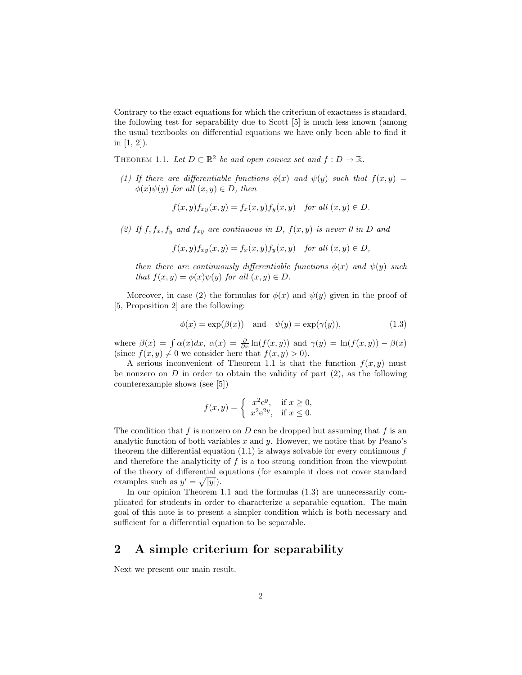Contrary to the exact equations for which the criterium of exactness is standard, the following test for separability due to Scott [5] is much less known (among the usual textbooks on differential equations we have only been able to find it in  $[1, 2]$ ).

THEOREM 1.1. Let  $D \subset \mathbb{R}^2$  be and open convex set and  $f : D \to \mathbb{R}$ .

(1) If there are differentiable functions  $\phi(x)$  and  $\psi(y)$  such that  $f(x, y) =$  $\phi(x)\psi(y)$  for all  $(x, y) \in D$ , then

$$
f(x,y)f_{xy}(x,y) = f_x(x,y)f_y(x,y) \text{ for all } (x,y) \in D.
$$

(2) If  $f, f_x, f_y$  and  $f_{xy}$  are continuous in D,  $f(x, y)$  is never 0 in D and

$$
f(x,y)f_{xy}(x,y) = f_x(x,y)f_y(x,y) \quad \text{for all } (x,y) \in D,
$$

then there are continuously differentiable functions  $\phi(x)$  and  $\psi(y)$  such that  $f(x, y) = \phi(x)\psi(y)$  for all  $(x, y) \in D$ .

Moreover, in case (2) the formulas for  $\phi(x)$  and  $\psi(y)$  given in the proof of [5, Proposition 2] are the following:

$$
\phi(x) = \exp(\beta(x)) \quad \text{and} \quad \psi(y) = \exp(\gamma(y)), \tag{1.3}
$$

where  $\beta(x) = \int \alpha(x)dx$ ,  $\alpha(x) = \frac{\partial}{\partial x} \ln(f(x, y))$  and  $\gamma(y) = \ln(f(x, y)) - \beta(x)$ (since  $f(x, y) \neq 0$  we consider here that  $f(x, y) > 0$ ).

A serious inconvenient of Theorem 1.1 is that the function  $f(x, y)$  must be nonzero on  $D$  in order to obtain the validity of part  $(2)$ , as the following counterexample shows (see [5])

$$
f(x,y) = \begin{cases} x^2 e^y, & \text{if } x \ge 0, \\ x^2 e^{2y}, & \text{if } x \le 0. \end{cases}
$$

The condition that f is nonzero on  $D$  can be dropped but assuming that f is an analytic function of both variables  $x$  and  $y$ . However, we notice that by Peano's theorem the differential equation  $(1.1)$  is always solvable for every continuous f and therefore the analyticity of  $f$  is a too strong condition from the viewpoint of the theory of differential equations (for example it does not cover standard p examples such as  $y' = \sqrt{|y|}$ .

In our opinion Theorem 1.1 and the formulas (1.3) are unnecessarily complicated for students in order to characterize a separable equation. The main goal of this note is to present a simpler condition which is both necessary and sufficient for a differential equation to be separable.

#### 2 A simple criterium for separability

Next we present our main result.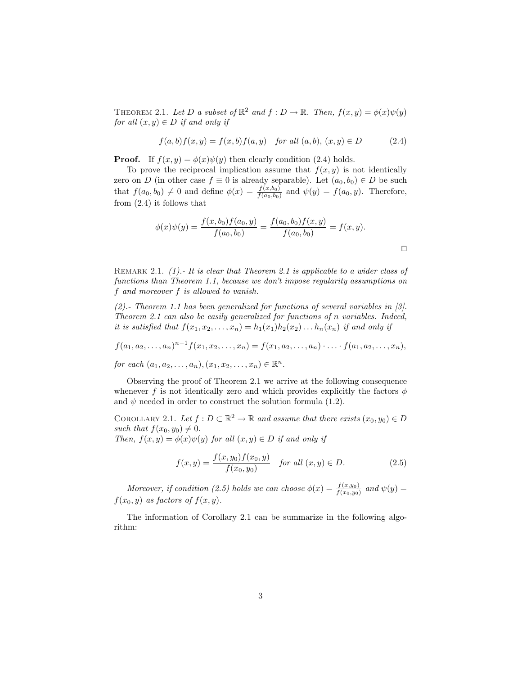THEOREM 2.1. Let D a subset of  $\mathbb{R}^2$  and  $f: D \to \mathbb{R}$ . Then,  $f(x, y) = \phi(x)\psi(y)$ for all  $(x, y) \in D$  if and only if

$$
f(a,b)f(x,y) = f(x,b)f(a,y) \text{ for all } (a,b), (x,y) \in D \tag{2.4}
$$

**Proof.** If  $f(x, y) = \phi(x)\psi(y)$  then clearly condition (2.4) holds.

To prove the reciprocal implication assume that  $f(x, y)$  is not identically zero on D (in other case  $f \equiv 0$  is already separable). Let  $(a_0, b_0) \in D$  be such that  $f(a_0, b_0) \neq 0$  and define  $\phi(x) = \frac{f(x, b_0)}{f(a_0, b_0)}$  and  $\psi(y) = f(a_0, y)$ . Therefore, from (2.4) it follows that

$$
\phi(x)\psi(y) = \frac{f(x,b_0)f(a_0,y)}{f(a_0,b_0)} = \frac{f(a_0,b_0)f(x,y)}{f(a_0,b_0)} = f(x,y).
$$

REMARK 2.1. (1).- It is clear that Theorem 2.1 is applicable to a wider class of functions than Theorem 1.1, because we don't impose regularity assumptions on f and moreover f is allowed to vanish.

(2).- Theorem 1.1 has been generalized for functions of several variables in [3]. Theorem 2.1 can also be easily generalized for functions of n variables. Indeed, it is satisfied that  $f(x_1, x_2, \ldots, x_n) = h_1(x_1)h_2(x_2) \ldots h_n(x_n)$  if and only if

$$
f(a_1, a_2,..., a_n)^{n-1} f(x_1, x_2,..., x_n) = f(x_1, a_2,..., a_n) \cdot ... \cdot f(a_1, a_2,..., a_n),
$$

for each  $(a_1, a_2, ..., a_n), (x_1, x_2, ..., x_n) \in \mathbb{R}^n$ .

Observing the proof of Theorem 2.1 we arrive at the following consequence whenever f is not identically zero and which provides explicitly the factors  $\phi$ and  $\psi$  needed in order to construct the solution formula (1.2).

COROLLARY 2.1. Let  $f: D \subset \mathbb{R}^2 \to \mathbb{R}$  and assume that there exists  $(x_0, y_0) \in D$ such that  $f(x_0, y_0) \neq 0$ . Then,  $f(x, y) = \phi(x)\psi(y)$  for all  $(x, y) \in D$  if and only if

$$
f(x,y) = \frac{f(x,y_0)f(x_0,y)}{f(x_0,y_0)} \quad \text{for all } (x,y) \in D. \tag{2.5}
$$

Moreover, if condition (2.5) holds we can choose  $\phi(x) = \frac{f(x,y_0)}{f(x_0,y_0)}$  and  $\psi(y) =$  $f(x_0, y)$  as factors of  $f(x, y)$ .

The information of Corollary 2.1 can be summarize in the following algorithm: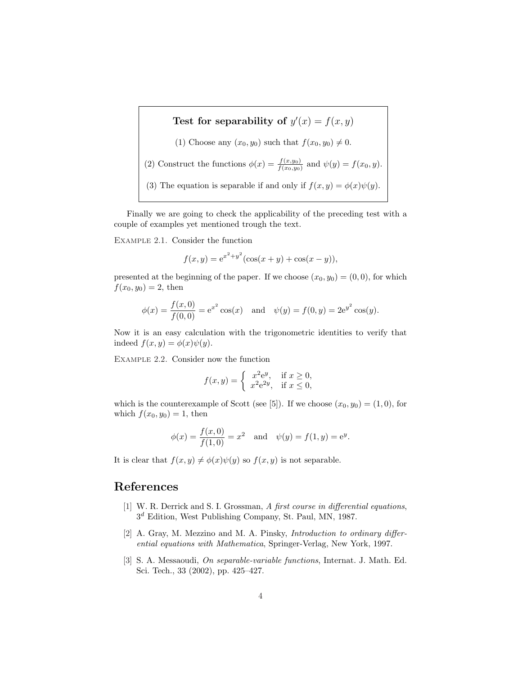# Test for separability of  $y'(x) = f(x, y)$ (1) Choose any  $(x_0, y_0)$  such that  $f(x_0, y_0) \neq 0$ . (2) Construct the functions  $\phi(x) = \frac{f(x,y_0)}{f(x_0,y_0)}$  and  $\psi(y) = f(x_0, y)$ . (3) The equation is separable if and only if  $f(x, y) = \phi(x)\psi(y)$ .

Finally we are going to check the applicability of the preceding test with a couple of examples yet mentioned trough the text.

Example 2.1. Consider the function

$$
f(x, y) = e^{x^2 + y^2} (\cos(x + y) + \cos(x - y)),
$$

presented at the beginning of the paper. If we choose  $(x_0, y_0) = (0, 0)$ , for which  $f(x_0, y_0) = 2$ , then

$$
\phi(x) = \frac{f(x,0)}{f(0,0)} = e^{x^2} \cos(x) \quad \text{and} \quad \psi(y) = f(0,y) = 2e^{y^2} \cos(y).
$$

Now it is an easy calculation with the trigonometric identities to verify that indeed  $f(x, y) = \phi(x)\psi(y)$ .

Example 2.2. Consider now the function

$$
f(x,y) = \begin{cases} x^2 e^y, & \text{if } x \ge 0, \\ x^2 e^{2y}, & \text{if } x \le 0, \end{cases}
$$

which is the counterexample of Scott (see [5]). If we choose  $(x_0, y_0) = (1, 0)$ , for which  $f(x_0, y_0) = 1$ , then

$$
\phi(x) = \frac{f(x,0)}{f(1,0)} = x^2
$$
 and  $\psi(y) = f(1,y) = e^y$ .

It is clear that  $f(x, y) \neq \phi(x)\psi(y)$  so  $f(x, y)$  is not separable.

#### References

- [1] W. R. Derrick and S. I. Grossman, A first course in differential equations, 3 <sup>d</sup> Edition, West Publishing Company, St. Paul, MN, 1987.
- [2] A. Gray, M. Mezzino and M. A. Pinsky, *Introduction to ordinary differ*ential equations with Mathematica, Springer-Verlag, New York, 1997.
- [3] S. A. Messaoudi, On separable-variable functions, Internat. J. Math. Ed. Sci. Tech., 33 (2002), pp. 425–427.